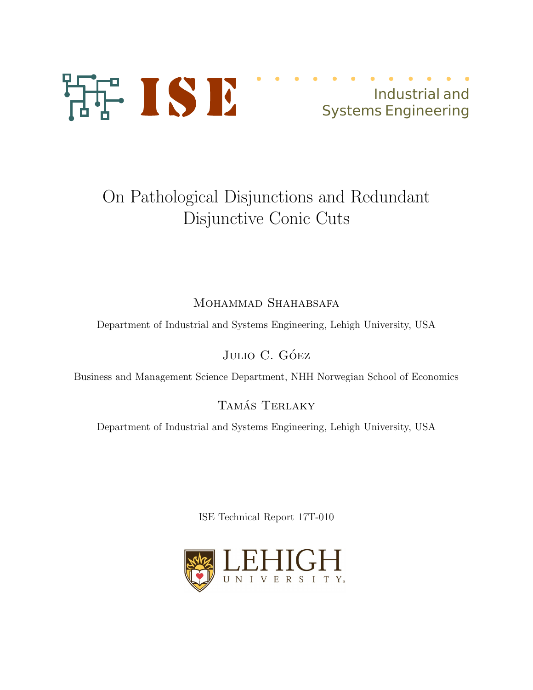

# On Pathological Disjunctions and Redundant Disjunctive Conic Cuts

# MOHAMMAD SHAHABSAFA

Department of Industrial and Systems Engineering, Lehigh University, USA

JULIO C. GÓEZ

Business and Management Science Department, NHH Norwegian School of Economics

TAMÁS TERLAKY

Department of Industrial and Systems Engineering, Lehigh University, USA

ISE Technical Report 17T-010

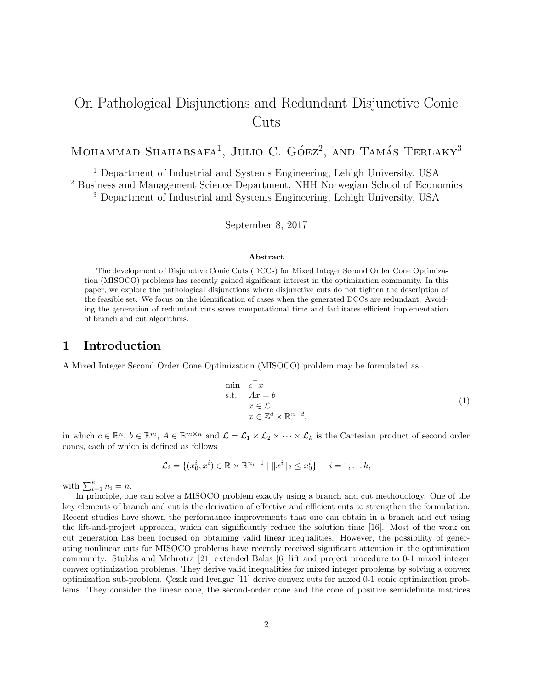# On Pathological Disjunctions and Redundant Disjunctive Conic Cuts

# MOHAMMAD SHAHABSAFA<sup>1</sup>, JULIO C. GÓEZ<sup>2</sup>, AND TAMÁS TERLAKY<sup>3</sup>

 $^{\rm 1}$  Department of Industrial and Systems Engineering, Lehigh University, USA <sup>2</sup> Business and Management Science Department, NHH Norwegian School of Economics <sup>3</sup> Department of Industrial and Systems Engineering, Lehigh University, USA

September 8, 2017

#### Abstract

The development of Disjunctive Conic Cuts (DCCs) for Mixed Integer Second Order Cone Optimization (MISOCO) problems has recently gained significant interest in the optimization community. In this paper, we explore the pathological disjunctions where disjunctive cuts do not tighten the description of the feasible set. We focus on the identification of cases when the generated DCCs are redundant. Avoiding the generation of redundant cuts saves computational time and facilitates efficient implementation of branch and cut algorithms.

### 1 Introduction

A Mixed Integer Second Order Cone Optimization (MISOCO) problem may be formulated as

$$
\min \limits_{\mathbf{x} \in \mathcal{L}} c^{\top} x \n\text{s.t.} \quad Ax = b \n\quad x \in \mathcal{L} \n\quad x \in \mathbb{Z}^{d} \times \mathbb{R}^{n-d},
$$
\n(1)

in which  $c \in \mathbb{R}^n$ ,  $b \in \mathbb{R}^m$ ,  $A \in \mathbb{R}^{m \times n}$  and  $\mathcal{L} = \mathcal{L}_1 \times \mathcal{L}_2 \times \cdots \times \mathcal{L}_k$  is the Cartesian product of second order cones, each of which is defined as follows

$$
\mathcal{L}_i = \{ (x_0^i, x^i) \in \mathbb{R} \times \mathbb{R}^{n_i - 1} \mid ||x^i||_2 \leq x_0^i \}, \quad i = 1, \dots k,
$$

with  $\sum_{i=1}^{k} n_i = n$ .

In principle, one can solve a MISOCO problem exactly using a branch and cut methodology. One of the key elements of branch and cut is the derivation of effective and efficient cuts to strengthen the formulation. Recent studies have shown the performance improvements that one can obtain in a branch and cut using the lift-and-project approach, which can significantly reduce the solution time [16]. Most of the work on cut generation has been focused on obtaining valid linear inequalities. However, the possibility of generating nonlinear cuts for MISOCO problems have recently received significant attention in the optimization community. Stubbs and Mehrotra [21] extended Balas [6] lift and project procedure to 0-1 mixed integer convex optimization problems. They derive valid inequalities for mixed integer problems by solving a convex optimization sub-problem. Cezik and Ivengar [11] derive convex cuts for mixed 0-1 conic optimization problems. They consider the linear cone, the second-order cone and the cone of positive semidefinite matrices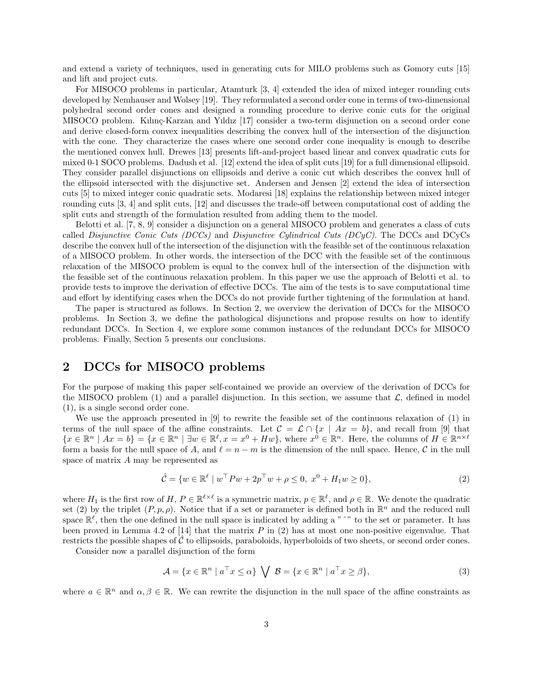and extend a variety of techniques, used in generating cuts for MILO problems such as Gomory cuts [15] and lift and project cuts.

For MISOCO problems in particular, Atamturk [3, 4] extended the idea of mixed integer rounding cuts developed by Nemhauser and Wolsey [19]. They reformulated a second order cone in terms of two-dimensional polyhedral second order cones and designed a rounding procedure to derive conic cuts for the original MISOCO problem. Kılınç-Karzan and Yıldız [17] consider a two-term disjunction on a second order cone and derive closed-form convex inequalities describing the convex hull of the intersection of the disjunction with the cone. They characterize the cases where one second order cone inequality is enough to describe the mentioned convex hull. Drewes [13] presents lift-and-project based linear and convex quadratic cuts for mixed 0-1 SOCO problems. Dadush et al. [12] extend the idea of split cuts [19] for a full dimensional ellipsoid. They consider parallel disjunctions on ellipsoids and derive a conic cut which describes the convex hull of the ellipsoid intersected with the disjunctive set. Andersen and Jensen [2] extend the idea of intersection cuts [5] to mixed integer conic quadratic sets. Modaresi [18] explains the relationship between mixed integer rounding cuts [3, 4] and split cuts, [12] and discusses the trade-off between computational cost of adding the split cuts and strength of the formulation resulted from adding them to the model.

Belotti et al. [7, 8, 9] consider a disjunction on a general MISOCO problem and generates a class of cuts called Disjunctive Conic Cuts (DCCs) and Disjunctive Cylindrical Cuts (DCyC). The DCCs and DCyCs describe the convex hull of the intersection of the disjunction with the feasible set of the continuous relaxation of a MISOCO problem. In other words, the intersection of the DCC with the feasible set of the continuous relaxation of the MISOCO problem is equal to the convex hull of the intersection of the disjunction with the feasible set of the continuous relaxation problem. In this paper we use the approach of Belotti et al. to provide tests to improve the derivation of effective DCCs. The aim of the tests is to save computational time and effort by identifying cases when the DCCs do not provide further tightening of the formulation at hand.

The paper is structured as follows. In Section 2, we overview the derivation of DCCs for the MISOCO problems. In Section 3, we define the pathological disjunctions and propose results on how to identify redundant DCCs. In Section 4, we explore some common instances of the redundant DCCs for MISOCO problems. Finally, Section 5 presents our conclusions.

## 2 DCCs for MISOCO problems

For the purpose of making this paper self-contained we provide an overview of the derivation of DCCs for the MISOCO problem (1) and a parallel disjunction. In this section, we assume that  $\mathcal{L}$ , defined in model (1), is a single second order cone.

We use the approach presented in [9] to rewrite the feasible set of the continuous relaxation of (1) in terms of the null space of the affine constraints. Let  $C = \mathcal{L} \cap \{x \mid Ax = b\}$ , and recall from [9] that  $\{x \in \mathbb{R}^n \mid Ax = b\} = \{x \in \mathbb{R}^n \mid \exists w \in \mathbb{R}^\ell, x = x^0 + Hw\},\$  where  $x^0 \in \mathbb{R}^n$ . Here, the columns of  $H \in \mathbb{R}^{n \times \ell}$ form a basis for the null space of A, and  $\ell = n - m$  is the dimension of the null space. Hence, C in the null space of matrix A may be represented as

$$
\hat{\mathcal{C}} = \{ w \in \mathbb{R}^{\ell} \mid w^{\top} P w + 2p^{\top} w + \rho \le 0, x^0 + H_1 w \ge 0 \},\tag{2}
$$

where  $H_1$  is the first row of  $H, P \in \mathbb{R}^{\ell \times \ell}$  is a symmetric matrix,  $p \in \mathbb{R}^{\ell}$ , and  $\rho \in \mathbb{R}$ . We denote the quadratic set (2) by the triplet  $(P, p, \rho)$ . Notice that if a set or parameter is defined both in  $\mathbb{R}^n$  and the reduced null space  $\mathbb{R}^{\ell}$ , then the one defined in the null space is indicated by adding a "^" to the set or parameter. It has been proved in Lemma 4.2 of [14] that the matrix  $P$  in (2) has at most one non-positive eigenvalue. That restricts the possible shapes of  $\hat{\mathcal{C}}$  to ellipsoids, paraboloids, hyperboloids of two sheets, or second order cones.

Consider now a parallel disjunction of the form

$$
\mathcal{A} = \{ x \in \mathbb{R}^n \mid a^\top x \le \alpha \} \quad \bigvee \quad \mathcal{B} = \{ x \in \mathbb{R}^n \mid a^\top x \ge \beta \},
$$
\n<sup>(3)</sup>

where  $a \in \mathbb{R}^n$  and  $\alpha, \beta \in \mathbb{R}$ . We can rewrite the disjunction in the null space of the affine constraints as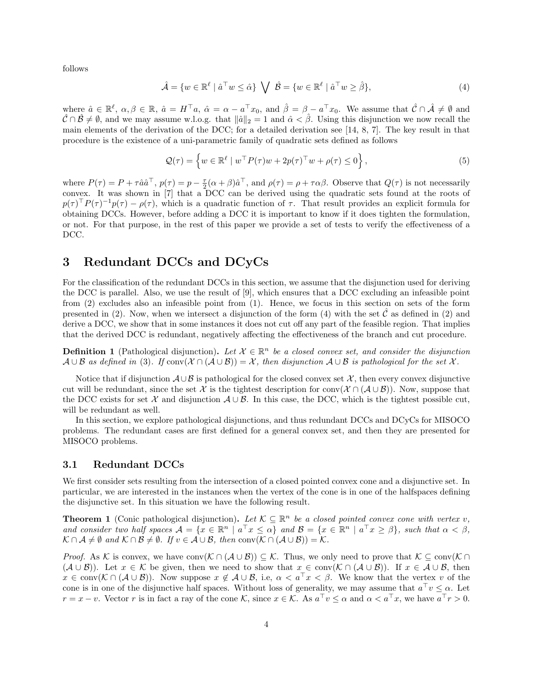follows

$$
\hat{\mathcal{A}} = \{ w \in \mathbb{R}^{\ell} \mid \hat{a}^{\top} w \le \hat{\alpha} \} \bigvee \hat{\mathcal{B}} = \{ w \in \mathbb{R}^{\ell} \mid \hat{a}^{\top} w \ge \hat{\beta} \},\tag{4}
$$

where  $\hat{a} \in \mathbb{R}^{\ell}$ ,  $\alpha, \beta \in \mathbb{R}$ ,  $\hat{a} = H^{\top}a$ ,  $\hat{\alpha} = \alpha - a^{\top}x_0$ , and  $\hat{\beta} = \beta - a^{\top}x_0$ . We assume that  $\hat{\mathcal{C}} \cap \hat{\mathcal{A}} \neq \emptyset$  and  $\mathcal{C} \cap \mathcal{B} \neq \emptyset$ , and we may assume w.l.o.g. that  $\|\hat{a}\|_2 = 1$  and  $\hat{\alpha} < \hat{\beta}$ . Using this disjunction we now recall the main elements of the derivation of the DCC; for a detailed derivation see [14, 8, 7]. The key result in that procedure is the existence of a uni-parametric family of quadratic sets defined as follows

$$
\mathcal{Q}(\tau) = \left\{ w \in \mathbb{R}^{\ell} \mid w^{\top} P(\tau) w + 2p(\tau)^{\top} w + \rho(\tau) \le 0 \right\},\tag{5}
$$

where  $P(\tau) = P + \tau \hat{a} \hat{a}^{\top}, p(\tau) = p - \frac{\tau}{2} (\alpha + \beta) \hat{a}^{\top},$  and  $\rho(\tau) = \rho + \tau \alpha \beta$ . Observe that  $Q(\tau)$  is not necessarily convex. It was shown in [7] that a DCC can be derived using the quadratic sets found at the roots of  $p(\tau)^{\top} P(\tau)^{-1} p(\tau) - \rho(\tau)$ , which is a quadratic function of  $\tau$ . That result provides an explicit formula for obtaining DCCs. However, before adding a DCC it is important to know if it does tighten the formulation, or not. For that purpose, in the rest of this paper we provide a set of tests to verify the effectiveness of a DCC.

# 3 Redundant DCCs and DCyCs

For the classification of the redundant DCCs in this section, we assume that the disjunction used for deriving the DCC is parallel. Also, we use the result of [9], which ensures that a DCC excluding an infeasible point from (2) excludes also an infeasible point from (1). Hence, we focus in this section on sets of the form presented in (2). Now, when we intersect a disjunction of the form (4) with the set  $\hat{\mathcal{C}}$  as defined in (2) and derive a DCC, we show that in some instances it does not cut off any part of the feasible region. That implies that the derived DCC is redundant, negatively affecting the effectiveness of the branch and cut procedure.

**Definition 1** (Pathological disjunction). Let  $\mathcal{X} \in \mathbb{R}^n$  be a closed convex set, and consider the disjunction  $\mathcal{A} \cup \mathcal{B}$  as defined in (3). If  $\text{conv}(\mathcal{X} \cap (\mathcal{A} \cup \mathcal{B})) = \mathcal{X}$ , then disjunction  $\mathcal{A} \cup \mathcal{B}$  is pathological for the set  $\mathcal{X}$ .

Notice that if disjunction  $\mathcal{A} \cup \mathcal{B}$  is pathological for the closed convex set X, then every convex disjunctive cut will be redundant, since the set X is the tightest description for conv( $X \cap (A \cup B)$ ). Now, suppose that the DCC exists for set X and disjunction  $\mathcal{A} \cup \mathcal{B}$ . In this case, the DCC, which is the tightest possible cut, will be redundant as well.

In this section, we explore pathological disjunctions, and thus redundant DCCs and DCyCs for MISOCO problems. The redundant cases are first defined for a general convex set, and then they are presented for MISOCO problems.

#### 3.1 Redundant DCCs

We first consider sets resulting from the intersection of a closed pointed convex cone and a disjunctive set. In particular, we are interested in the instances when the vertex of the cone is in one of the halfspaces defining the disjunctive set. In this situation we have the following result.

**Theorem 1** (Conic pathological disjunction). Let  $K \subseteq \mathbb{R}^n$  be a closed pointed convex cone with vertex v, and consider two half spaces  $A = \{x \in \mathbb{R}^n \mid a^\top x \leq \alpha\}$  and  $B = \{x \in \mathbb{R}^n \mid a^\top x \geq \beta\}$ , such that  $\alpha < \beta$ ,  $\mathcal{K} \cap \mathcal{A} \neq \emptyset$  and  $\mathcal{K} \cap \mathcal{B} \neq \emptyset$ . If  $v \in \mathcal{A} \cup \mathcal{B}$ , then conv $(\mathcal{K} \cap (\mathcal{A} \cup \mathcal{B})) = \mathcal{K}$ .

*Proof.* As K is convex, we have conv $(K \cap (A \cup B)) \subseteq K$ . Thus, we only need to prove that  $K \subseteq \text{conv}(K \cap B)$  $(\mathcal{A} \cup \mathcal{B})$ . Let  $x \in \mathcal{K}$  be given, then we need to show that  $x \in \text{conv}(\mathcal{K} \cap (\mathcal{A} \cup \mathcal{B}))$ . If  $x \in \mathcal{A} \cup \mathcal{B}$ , then  $x \in \text{conv}(\mathcal{K} \cap (\mathcal{A} \cup \mathcal{B}))$ . Now suppose  $x \notin \mathcal{A} \cup \mathcal{B}$ , i.e,  $\alpha < a^{\top}x < \beta$ . We know that the vertex v of the cone is in one of the disjunctive half spaces. Without loss of generality, we may assume that  $a^{\top}v \leq \alpha$ . Let  $r = x - v$ . Vector r is in fact a ray of the cone K, since  $x \in \mathcal{K}$ . As  $a^{\top} v \leq \alpha$  and  $\alpha < a^{\top} x$ , we have  $a^{\top} r > 0$ .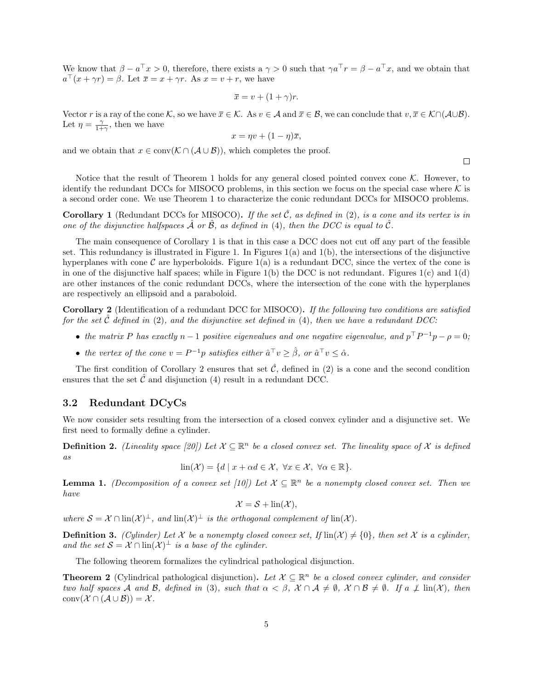We know that  $\beta - a^{\top}x > 0$ , therefore, there exists a  $\gamma > 0$  such that  $\gamma a^{\top}r = \beta - a^{\top}x$ , and we obtain that  $a^{\top}(x + \gamma r) = \beta$ . Let  $\bar{x} = x + \gamma r$ . As  $x = v + r$ , we have

$$
\bar{x} = v + (1 + \gamma)r.
$$

Vector r is a ray of the cone K, so we have  $\overline{x} \in \mathcal{K}$ . As  $v \in \mathcal{A}$  and  $\overline{x} \in \mathcal{B}$ , we can conclude that  $v, \overline{x} \in \mathcal{K} \cap (\mathcal{A} \cup \mathcal{B})$ . Let  $\eta = \frac{\gamma}{1+\gamma}$ , then we have

$$
x = \eta v + (1 - \eta)\overline{x},
$$

and we obtain that  $x \in \text{conv}(\mathcal{K} \cap (\mathcal{A} \cup \mathcal{B}))$ , which completes the proof.

 $\Box$ 

Notice that the result of Theorem 1 holds for any general closed pointed convex cone  $K$ . However, to identify the redundant DCCs for MISOCO problems, in this section we focus on the special case where  $K$  is a second order cone. We use Theorem 1 to characterize the conic redundant DCCs for MISOCO problems.

**Corollary 1** (Redundant DCCs for MISOCO). If the set  $\hat{\mathcal{C}}$ , as defined in (2), is a cone and its vertex is in one of the disjunctive halfspaces  $\hat{\mathcal{A}}$  or  $\hat{\mathcal{B}}$ , as defined in (4), then the DCC is equal to  $\hat{\mathcal{C}}$ .

The main consequence of Corollary 1 is that in this case a DCC does not cut off any part of the feasible set. This redundancy is illustrated in Figure 1. In Figures 1(a) and 1(b), the intersections of the disjunctive hyperplanes with cone  $\mathcal C$  are hyperboloids. Figure 1(a) is a redundant DCC, since the vertex of the cone is in one of the disjunctive half spaces; while in Figure 1(b) the DCC is not redundant. Figures 1(c) and 1(d) are other instances of the conic redundant DCCs, where the intersection of the cone with the hyperplanes are respectively an ellipsoid and a paraboloid.

Corollary 2 (Identification of a redundant DCC for MISOCO). If the following two conditions are satisfied for the set  $\hat{\mathcal{C}}$  defined in (2), and the disjunctive set defined in (4), then we have a redundant DCC:

- the matrix P has exactly  $n-1$  positive eigenvalues and one negative eigenvalue, and  $p^{\top}P^{-1}p p = 0$ ;
- the vertex of the cone  $v = P^{-1}p$  satisfies either  $\hat{a}^\top v \geq \hat{\beta}$ , or  $\hat{a}^\top v \leq \hat{\alpha}$ .

The first condition of Corollary 2 ensures that set  $\hat{\mathcal{C}}$ , defined in (2) is a cone and the second condition ensures that the set  $\hat{\mathcal{C}}$  and disjunction (4) result in a redundant DCC.

#### 3.2 Redundant DCyCs

We now consider sets resulting from the intersection of a closed convex cylinder and a disjunctive set. We first need to formally define a cylinder.

**Definition 2.** (Lineality space [20]) Let  $X \subseteq \mathbb{R}^n$  be a closed convex set. The lineality space of X is defined as

$$
\text{lin}(\mathcal{X}) = \{ d \mid x + \alpha d \in \mathcal{X}, \ \forall x \in \mathcal{X}, \ \forall \alpha \in \mathbb{R} \}.
$$

**Lemma 1.** (Decomposition of a convex set [10]) Let  $\mathcal{X} \subseteq \mathbb{R}^n$  be a nonempty closed convex set. Then we have

$$
\mathcal{X} = \mathcal{S} + \text{lin}(\mathcal{X}),
$$

where  $S = \mathcal{X} \cap \text{lin}(\mathcal{X})^{\perp}$ , and  $\text{lin}(\mathcal{X})^{\perp}$  is the orthogonal complement of  $\text{lin}(\mathcal{X})$ .

**Definition 3.** (Cylinder) Let X be a nonempty closed convex set, If  $\text{lin}(\mathcal{X}) \neq \{0\}$ , then set X is a cylinder, and the set  $S = \mathcal{X} \cap \text{lin}(\mathcal{X})^{\perp}$  is a base of the cylinder.

The following theorem formalizes the cylindrical pathological disjunction.

**Theorem 2** (Cylindrical pathological disjunction). Let  $\mathcal{X} \subseteq \mathbb{R}^n$  be a closed convex cylinder, and consider two half spaces A and B, defined in (3), such that  $\alpha < \beta$ ,  $\mathcal{X} \cap \mathcal{A} \neq \emptyset$ ,  $\mathcal{X} \cap \mathcal{B} \neq \emptyset$ . If  $a \not\perp \text{lin}(\mathcal{X})$ , then conv $({\mathcal X} \cap ({\mathcal A} \cup {\mathcal B})) = {\mathcal X}$ .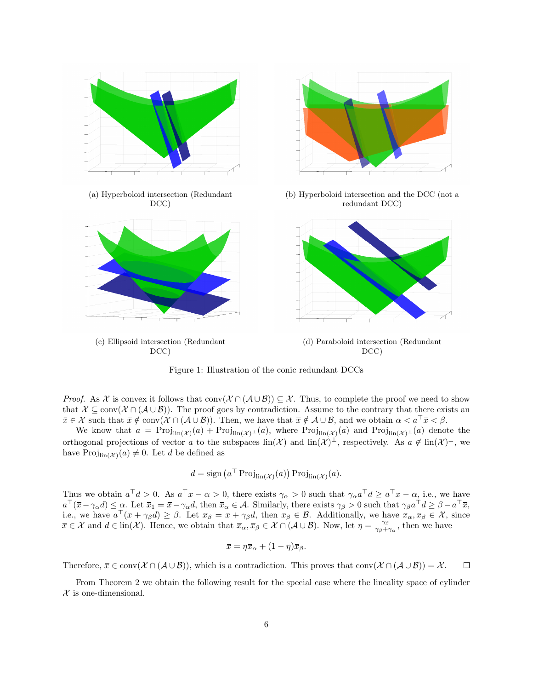

Figure 1: Illustration of the conic redundant DCCs

*Proof.* As X is convex it follows that  $\text{conv}(\mathcal{X} \cap (\mathcal{A} \cup \mathcal{B})) \subseteq \mathcal{X}$ . Thus, to complete the proof we need to show that  $X \subseteq \text{conv}(\mathcal{X} \cap (\mathcal{A} \cup \mathcal{B}))$ . The proof goes by contradiction. Assume to the contrary that there exists an  $\bar{x} \in \mathcal{X}$  such that  $\bar{x} \notin \text{conv}(\mathcal{X} \cap (\mathcal{A} \cup \mathcal{B}))$ . Then, we have that  $\bar{x} \notin \mathcal{A} \cup \mathcal{B}$ , and we obtain  $\alpha < a^{\perp} \bar{x} < \beta$ .

We know that  $a = \text{Proj}_{\text{lin}(\mathcal{X})}(a) + \text{Proj}_{\text{lin}(\mathcal{X})^{\perp}}(a)$ , where  $\text{Proj}_{\text{lin}(\mathcal{X})}(a)$  and  $\text{Proj}_{\text{lin}(\mathcal{X})^{\perp}}(a)$  denote the orthogonal projections of vector a to the subspaces  $\text{lin}(\mathcal{X})$  and  $\text{lin}(\mathcal{X})^{\perp}$ , respectively. As  $a \notin \text{lin}(\mathcal{X})^{\perp}$ , we have  $\text{Proj}_{\text{lin}(\mathcal{X})}(a) \neq 0$ . Let d be defined as

$$
d = \text{sign}\left(a^{\top} \operatorname{Proj}_{\text{lin}(\mathcal{X})}(a)\right) \operatorname{Proj}_{\text{lin}(\mathcal{X})}(a).
$$

Thus we obtain  $a^{\top}d > 0$ . As  $a^{\top}\bar{x} - \alpha > 0$ , there exists  $\gamma_{\alpha} > 0$  such that  $\gamma_{\alpha}a^{\top}d \ge a^{\top}\bar{x} - \alpha$ , i.e., we have  $a^{\top}(\bar{x}-\gamma_{\alpha}d) \leq \alpha$ . Let  $\bar{x}_1 = \bar{x} - \gamma_{\alpha}d$ , then  $\bar{x}_{\alpha} \in A$ . Similarly, there exists  $\gamma_{\beta} > 0$  such that  $\gamma_{\beta}a^{\top}d \geq \beta - a^{\top}\bar{x}$ , i.e., we have  $a^{\top}(\bar{x} + \gamma_{\beta}d) \geq \beta$ . Let  $\bar{x}_{\beta} = \bar{x} + \gamma_{\beta}d$ , then  $\bar{x}_{\beta} \in \mathcal{B}$ . Additionally, we have  $\bar{x}_{\alpha}, \bar{x}_{\beta} \in \mathcal{X}$ , since  $\overline{x} \in \mathcal{X}$  and  $d \in \text{lin}(\mathcal{X})$ . Hence, we obtain that  $\overline{x}_{\alpha}, \overline{x}_{\beta} \in \mathcal{X} \cap (\mathcal{A} \cup \mathcal{B})$ . Now, let  $\eta = \frac{\gamma_{\beta}}{\gamma_{\beta} + \gamma_{\beta}}$  $\frac{\gamma_{\beta}}{\gamma_{\beta}+\gamma_{\alpha}},$  then we have

$$
\bar{x} = \eta \bar{x}_{\alpha} + (1 - \eta) \bar{x}_{\beta}.
$$

Therefore,  $\bar{x} \in \text{conv}(\mathcal{X} \cap (\mathcal{A} \cup \mathcal{B}))$ , which is a contradiction. This proves that  $\text{conv}(\mathcal{X} \cap (\mathcal{A} \cup \mathcal{B})) = \mathcal{X}$ .  $\Box$ 

From Theorem 2 we obtain the following result for the special case where the lineality space of cylinder  $X$  is one-dimensional.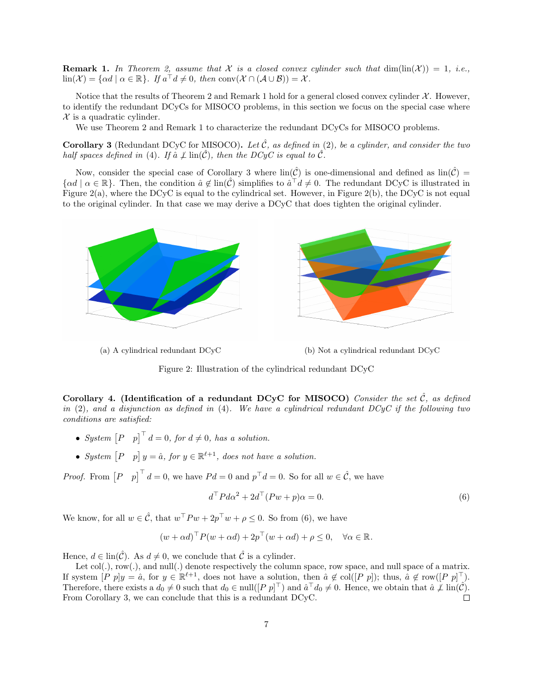**Remark 1.** In Theorem 2, assume that X is a closed convex cylinder such that  $\dim(\text{lin}(\mathcal{X})) = 1$ , i.e.,  $\text{lin}(\mathcal{X}) = \{ \alpha d \mid \alpha \in \mathbb{R} \}.$  If  $a^{\top} d \neq 0$ , then  $\text{conv}(\mathcal{X} \cap (\mathcal{A} \cup \mathcal{B})) = \mathcal{X}.$ 

Notice that the results of Theorem 2 and Remark 1 hold for a general closed convex cylinder  $\mathcal{X}$ . However, to identify the redundant DCyCs for MISOCO problems, in this section we focus on the special case where  $\mathcal X$  is a quadratic cylinder.

We use Theorem 2 and Remark 1 to characterize the redundant DCyCs for MISOCO problems.

Corollary 3 (Redundant DCyC for MISOCO). Let  $\hat{\mathcal{C}}$ , as defined in (2), be a cylinder, and consider the two half spaces defined in (4). If  $\hat{a} \not\perp \text{lin}(\hat{C})$ , then the DCyC is equal to  $\hat{C}$ .

Now, consider the special case of Corollary 3 where  $\text{lin}(\hat{C})$  is one-dimensional and defined as  $\text{lin}(\hat{C})$  =  $\{\alpha d \mid \alpha \in \mathbb{R}\}.$  Then, the condition  $\hat{a} \notin \text{lin}(\hat{\mathcal{C}})$  simplifies to  $\hat{a}^\top d \neq 0$ . The redundant DCyC is illustrated in Figure 2(a), where the DCyC is equal to the cylindrical set. However, in Figure 2(b), the DCyC is not equal to the original cylinder. In that case we may derive a DCyC that does tighten the original cylinder.



(a) A cylindrical redundant DCyC (b) Not a cylindrical redundant DCyC

Figure 2: Illustration of the cylindrical redundant DCyC

Corollary 4. (Identification of a redundant DCyC for MISOCO) Consider the set  $\hat{\mathcal{C}}$ , as defined in (2), and a disjunction as defined in (4). We have a cylindrical redundant  $DCyC$  if the following two conditions are satisfied:

- System  $\begin{bmatrix} P & p \end{bmatrix}^{\top} d = 0$ , for  $d \neq 0$ , has a solution.
- System  $\begin{bmatrix} P & p \end{bmatrix} y = \hat{a}$ , for  $y \in \mathbb{R}^{\ell+1}$ , does not have a solution.

*Proof.* From  $\begin{bmatrix} P & p \end{bmatrix}^\top d = 0$ , we have  $P d = 0$  and  $p^\top d = 0$ . So for all  $w \in \hat{\mathcal{C}}$ , we have

$$
d^{\top} P d\alpha^2 + 2d^{\top} (Pw + p)\alpha = 0. \tag{6}
$$

We know, for all  $w \in \hat{\mathcal{C}}$ , that  $w^{\top} P w + 2p^{\top} w + \rho \leq 0$ . So from (6), we have

$$
(w + \alpha d)^{\top} P(w + \alpha d) + 2p^{\top}(w + \alpha d) + \rho \leq 0, \quad \forall \alpha \in \mathbb{R}.
$$

Hence,  $d \in \text{lin}(\hat{C})$ . As  $d \neq 0$ , we conclude that  $\hat{C}$  is a cylinder.

Let  $col(.)$ , row(.), and null(.) denote respectively the column space, row space, and null space of a matrix. If system  $[P \; p]y = \hat{a}$ , for  $y \in \mathbb{R}^{\ell+1}$ , does not have a solution, then  $\hat{a} \notin col([P \; p])$ ; thus,  $\hat{a} \notin row([P \; p]^\top)$ . Therefore, there exists a  $d_0 \neq 0$  such that  $d_0 \in \text{null}([P \ p]^\top)$  and  $\hat{a}^\top d_0 \neq 0$ . Hence, we obtain that  $\hat{a} \not\perp \text{lin}(\hat{\mathcal{C}})$ . From Corollary 3, we can conclude that this is a redundant DCyC.  $\Box$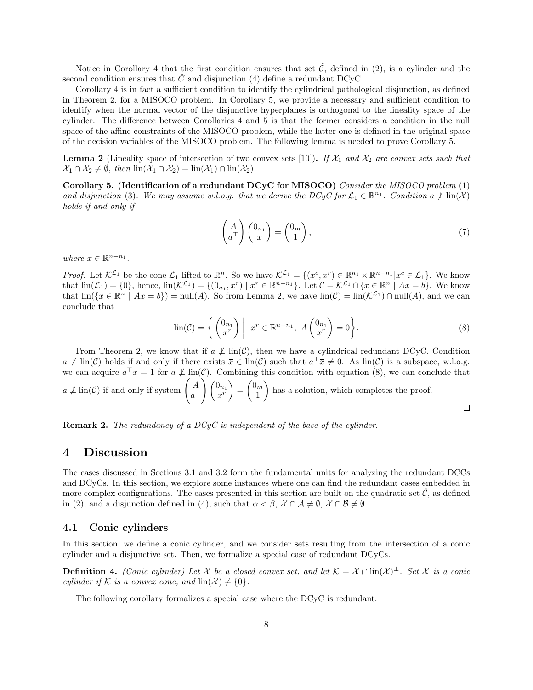Notice in Corollary 4 that the first condition ensures that set  $\hat{\mathcal{C}}$ , defined in (2), is a cylinder and the second condition ensures that  $\hat{C}$  and disjunction (4) define a redundant DCyC.

Corollary 4 is in fact a sufficient condition to identify the cylindrical pathological disjunction, as defined in Theorem 2, for a MISOCO problem. In Corollary 5, we provide a necessary and sufficient condition to identify when the normal vector of the disjunctive hyperplanes is orthogonal to the lineality space of the cylinder. The difference between Corollaries 4 and 5 is that the former considers a condition in the null space of the affine constraints of the MISOCO problem, while the latter one is defined in the original space of the decision variables of the MISOCO problem. The following lemma is needed to prove Corollary 5.

**Lemma 2** (Lineality space of intersection of two convex sets [10]). If  $\mathcal{X}_1$  and  $\mathcal{X}_2$  are convex sets such that  $\mathcal{X}_1 \cap \mathcal{X}_2 \neq \emptyset$ , then  $\text{lin}(\mathcal{X}_1 \cap \mathcal{X}_2) = \text{lin}(\mathcal{X}_1) \cap \text{lin}(\mathcal{X}_2)$ .

Corollary 5. (Identification of a redundant DCyC for MISOCO) Consider the MISOCO problem (1) and disjunction (3). We may assume w.l.o.g. that we derive the  $DCyC$  for  $\mathcal{L}_1 \in \mathbb{R}^{n_1}$ . Condition a  $\neq \text{lin}(\mathcal{X})$ holds if and only if

$$
\begin{pmatrix} A \\ a^\top \end{pmatrix} \begin{pmatrix} 0_{n_1} \\ x \end{pmatrix} = \begin{pmatrix} 0_m \\ 1 \end{pmatrix},\tag{7}
$$

where  $x \in \mathbb{R}^{n-n_1}$ .

*Proof.* Let  $\mathcal{K}^{\mathcal{L}_1}$  be the cone  $\mathcal{L}_1$  lifted to  $\mathbb{R}^n$ . So we have  $\mathcal{K}^{\mathcal{L}_1} = \{(x^c, x^r) \in \mathbb{R}^{n_1} \times \mathbb{R}^{n-n_1} | x^c \in \mathcal{L}_1\}$ . We know that  $\text{lin}(\mathcal{L}_1) = \{0\}$ , hence,  $\text{lin}(\mathcal{K}^{\mathcal{L}_1}) = \{(0_{n_1}, x^r) \mid x^r \in \mathbb{R}^{n-n_1}\}$ . Let  $\mathcal{C} = \mathcal{K}^{\mathcal{L}_1} \cap \{x \in \mathbb{R}^n \mid Ax = b\}$ . We know that  $\text{lin}(\{x \in \mathbb{R}^n \mid Ax = b\}) = \text{null}(A)$ . So from Lemma 2, we have  $\text{lin}(\mathcal{C}) = \text{lin}(\mathcal{K}^{\mathcal{L}_1}) \cap \text{null}(A)$ , and we can conclude that

$$
\operatorname{lin}(\mathcal{C}) = \left\{ \begin{pmatrix} 0_{n_1} \\ x^r \end{pmatrix} \middle| \ x^r \in \mathbb{R}^{n-n_1}, \ A \begin{pmatrix} 0_{n_1} \\ x^r \end{pmatrix} = 0 \right\}.
$$
 (8)

From Theorem 2, we know that if  $a \not\perp \text{lin}(\mathcal{C})$ , then we have a cylindrical redundant DCyC. Condition  $a \neq \text{lin}(\mathcal{C})$  holds if and only if there exists  $\bar{x} \in \text{lin}(\mathcal{C})$  such that  $a^{\top} \bar{x} \neq 0$ . As  $\text{lin}(\mathcal{C})$  is a subspace, w.l.o.g. we can acquire  $a^{\top} \bar{x} = 1$  for  $a \not\perp \text{lin}(\mathcal{C})$ . Combining this condition with equation (8), we can conclude that  $a \not\perp \text{lin}(\mathcal{C})$  if and only if system  $\begin{pmatrix} A \\ \overline{A} \end{pmatrix}$  $\bigg\}$   $\bigg(0_{n_1}\bigg)$  $\bigg) = \bigg( \begin{matrix} 0 \\ 1 \end{matrix}$ ) has a solution, which completes the proof.  $a^{\top}$  $x^r$ 1  $\Box$ 

**Remark 2.** The redundancy of a  $DCyC$  is independent of the base of the cylinder.

### 4 Discussion

The cases discussed in Sections 3.1 and 3.2 form the fundamental units for analyzing the redundant DCCs and DCyCs. In this section, we explore some instances where one can find the redundant cases embedded in more complex configurations. The cases presented in this section are built on the quadratic set  $\mathcal{C}$ , as defined in (2), and a disjunction defined in (4), such that  $\alpha < \beta$ ,  $\mathcal{X} \cap \mathcal{A} \neq \emptyset$ ,  $\mathcal{X} \cap \mathcal{B} \neq \emptyset$ .

#### 4.1 Conic cylinders

In this section, we define a conic cylinder, and we consider sets resulting from the intersection of a conic cylinder and a disjunctive set. Then, we formalize a special case of redundant DCyCs.

**Definition 4.** (Conic cylinder) Let X be a closed convex set, and let  $\mathcal{K} = \mathcal{X} \cap \text{lin}(\mathcal{X})^{\perp}$ . Set X is a conic cylinder if K is a convex cone, and  $\text{lin}(\mathcal{X}) \neq \{0\}.$ 

The following corollary formalizes a special case where the DCyC is redundant.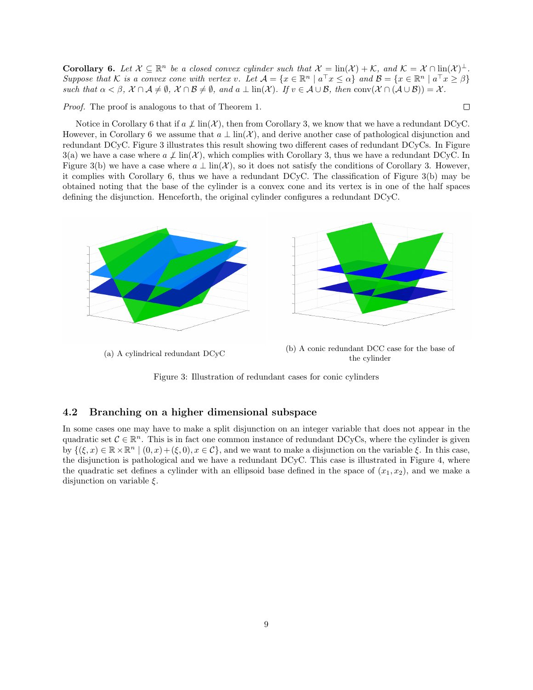**Corollary 6.** Let  $\mathcal{X} \subseteq \mathbb{R}^n$  be a closed convex cylinder such that  $\mathcal{X} = \text{lin}(\mathcal{X}) + \mathcal{K}$ , and  $\mathcal{K} = \mathcal{X} \cap \text{lin}(\mathcal{X})^{\perp}$ . Suppose that K is a convex cone with vertex v. Let  $A = \{x \in \mathbb{R}^n \mid a^\top x \leq \alpha\}$  and  $\mathcal{B} = \{x \in \mathbb{R}^n \mid a^\top x \geq \beta\}$ such that  $\alpha < \beta$ ,  $\mathcal{X} \cap \mathcal{A} \neq \emptyset$ ,  $\alpha \cap \mathcal{B} \neq \emptyset$ , and  $\alpha \perp \text{lin}(\mathcal{X})$ . If  $v \in \mathcal{A} \cup \mathcal{B}$ , then conv $(\mathcal{X} \cap (\mathcal{A} \cup \mathcal{B})) = \mathcal{X}$ .

Proof. The proof is analogous to that of Theorem 1.

 $\Box$ 

Notice in Corollary 6 that if  $a \not\perp \text{lin}(\mathcal{X})$ , then from Corollary 3, we know that we have a redundant DCyC. However, in Corollary 6 we assume that  $a \perp \text{lin}(\mathcal{X})$ , and derive another case of pathological disjunction and redundant DCyC. Figure 3 illustrates this result showing two different cases of redundant DCyCs. In Figure 3(a) we have a case where  $a \not\perp \text{lin}(\mathcal{X})$ , which complies with Corollary 3, thus we have a redundant DCyC. In Figure 3(b) we have a case where  $a \perp \text{lin}(\mathcal{X})$ , so it does not satisfy the conditions of Corollary 3. However, it complies with Corollary 6, thus we have a redundant DCyC. The classification of Figure 3(b) may be obtained noting that the base of the cylinder is a convex cone and its vertex is in one of the half spaces defining the disjunction. Henceforth, the original cylinder configures a redundant DCyC.



Figure 3: Illustration of redundant cases for conic cylinders

#### 4.2 Branching on a higher dimensional subspace

In some cases one may have to make a split disjunction on an integer variable that does not appear in the quadratic set  $\mathcal{C} \in \mathbb{R}^n$ . This is in fact one common instance of redundant DCyCs, where the cylinder is given by  $\{(\xi, x) \in \mathbb{R} \times \mathbb{R}^n \mid (0, x) + (\xi, 0), x \in \mathcal{C}\}\$ , and we want to make a disjunction on the variable  $\xi$ . In this case, the disjunction is pathological and we have a redundant DCyC. This case is illustrated in Figure 4, where the quadratic set defines a cylinder with an ellipsoid base defined in the space of  $(x_1, x_2)$ , and we make a disjunction on variable  $\xi$ .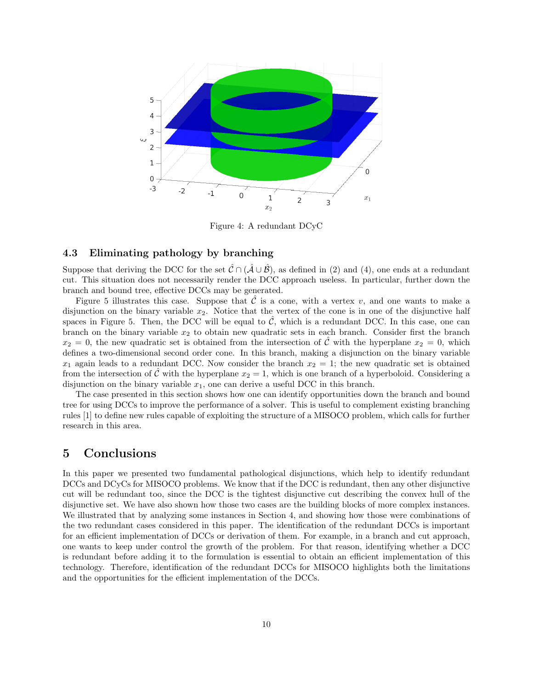

Figure 4: A redundant DCyC

#### 4.3 Eliminating pathology by branching

Suppose that deriving the DCC for the set  $\hat{\mathcal{C}} \cap (\hat{\mathcal{A}} \cup \hat{\mathcal{B}})$ , as defined in (2) and (4), one ends at a redundant cut. This situation does not necessarily render the DCC approach useless. In particular, further down the branch and bound tree, effective DCCs may be generated.

Figure 5 illustrates this case. Suppose that  $\hat{\mathcal{C}}$  is a cone, with a vertex v, and one wants to make a disjunction on the binary variable  $x_2$ . Notice that the vertex of the cone is in one of the disjunctive half spaces in Figure 5. Then, the DCC will be equal to  $\hat{\mathcal{C}}$ , which is a redundant DCC. In this case, one can branch on the binary variable  $x_2$  to obtain new quadratic sets in each branch. Consider first the branch  $x_2 = 0$ , the new quadratic set is obtained from the intersection of C with the hyperplane  $x_2 = 0$ , which defines a two-dimensional second order cone. In this branch, making a disjunction on the binary variable  $x_1$  again leads to a redundant DCC. Now consider the branch  $x_2 = 1$ ; the new quadratic set is obtained from the intersection of  $\hat{\mathcal{C}}$  with the hyperplane  $x_2 = 1$ , which is one branch of a hyperboloid. Considering a disjunction on the binary variable  $x_1$ , one can derive a useful DCC in this branch.

The case presented in this section shows how one can identify opportunities down the branch and bound tree for using DCCs to improve the performance of a solver. This is useful to complement existing branching rules [1] to define new rules capable of exploiting the structure of a MISOCO problem, which calls for further research in this area.

### 5 Conclusions

In this paper we presented two fundamental pathological disjunctions, which help to identify redundant DCCs and DCyCs for MISOCO problems. We know that if the DCC is redundant, then any other disjunctive cut will be redundant too, since the DCC is the tightest disjunctive cut describing the convex hull of the disjunctive set. We have also shown how those two cases are the building blocks of more complex instances. We illustrated that by analyzing some instances in Section 4, and showing how those were combinations of the two redundant cases considered in this paper. The identification of the redundant DCCs is important for an efficient implementation of DCCs or derivation of them. For example, in a branch and cut approach, one wants to keep under control the growth of the problem. For that reason, identifying whether a DCC is redundant before adding it to the formulation is essential to obtain an efficient implementation of this technology. Therefore, identification of the redundant DCCs for MISOCO highlights both the limitations and the opportunities for the efficient implementation of the DCCs.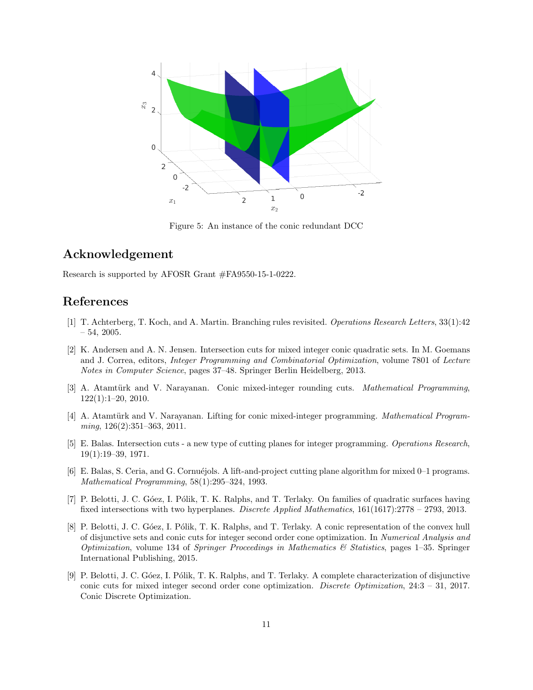

Figure 5: An instance of the conic redundant DCC

# Acknowledgement

Research is supported by AFOSR Grant #FA9550-15-1-0222.

# References

- [1] T. Achterberg, T. Koch, and A. Martin. Branching rules revisited. Operations Research Letters, 33(1):42  $-54, 2005.$
- [2] K. Andersen and A. N. Jensen. Intersection cuts for mixed integer conic quadratic sets. In M. Goemans and J. Correa, editors, Integer Programming and Combinatorial Optimization, volume 7801 of Lecture Notes in Computer Science, pages 37–48. Springer Berlin Heidelberg, 2013.
- [3] A. Atamtürk and V. Narayanan. Conic mixed-integer rounding cuts. Mathematical Programming,  $122(1):1-20$ ,  $2010$ .
- [4] A. Atamtürk and V. Narayanan. Lifting for conic mixed-integer programming. Mathematical Programming, 126(2):351-363, 2011.
- [5] E. Balas. Intersection cuts a new type of cutting planes for integer programming. Operations Research, 19(1):19–39, 1971.
- [6] E. Balas, S. Ceria, and G. Cornuéjols. A lift-and-project cutting plane algorithm for mixed 0–1 programs. Mathematical Programming, 58(1):295–324, 1993.
- [7] P. Belotti, J. C. Góez, I. Pólik, T. K. Ralphs, and T. Terlaky. On families of quadratic surfaces having fixed intersections with two hyperplanes. Discrete Applied Mathematics, 161(1617):2778 – 2793, 2013.
- [8] P. Belotti, J. C. Góez, I. Pólik, T. K. Ralphs, and T. Terlaky. A conic representation of the convex hull of disjunctive sets and conic cuts for integer second order cone optimization. In Numerical Analysis and *Optimization*, volume 134 of *Springer Proceedings in Mathematics & Statistics*, pages  $1-35$ . Springer International Publishing, 2015.
- [9] P. Belotti, J. C. Góez, I. Pólik, T. K. Ralphs, and T. Terlaky. A complete characterization of disjunctive conic cuts for mixed integer second order cone optimization. Discrete Optimization, 24:3 – 31, 2017. Conic Discrete Optimization.